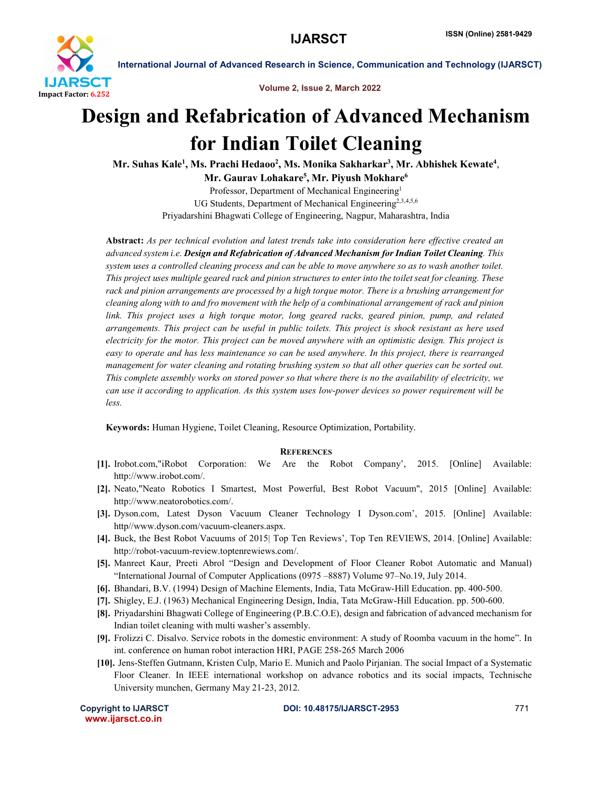

International Journal of Advanced Research in Science, Communication and Technology (IJARSCT)

Volume 2, Issue 2, March 2022

## Design and Refabrication of Advanced Mechanism for Indian Toilet Cleaning

Mr. Suhas Kale<sup>1</sup>, Ms. Prachi Hedaoo<sup>2</sup>, Ms. Monika Sakharkar<sup>3</sup>, Mr. Abhishek Kewate<sup>4</sup>, Mr. Gaurav Lohakare<sup>5</sup>, Mr. Piyush Mokhare<sup>6</sup>

Professor, Department of Mechanical Engineering1 UG Students, Department of Mechanical Engineering<sup>2,3,4,5,6</sup> Priyadarshini Bhagwati College of Engineering, Nagpur, Maharashtra, India

Abstract: *As per technical evolution and latest trends take into consideration here effective created an advanced system i.e. Design and Refabrication of Advanced Mechanism for Indian Toilet Cleaning. This system uses a controlled cleaning process and can be able to move anywhere so as to wash another toilet. This project uses multiple geared rack and pinion structures to enter into the toilet seat for cleaning. These rack and pinion arrangements are processed by a high torque motor. There is a brushing arrangement for cleaning along with to and fro movement with the help of a combinational arrangement of rack and pinion link. This project uses a high torque motor, long geared racks, geared pinion, pump, and related arrangements. This project can be useful in public toilets. This project is shock resistant as here used electricity for the motor. This project can be moved anywhere with an optimistic design. This project is easy to operate and has less maintenance so can be used anywhere. In this project, there is rearranged management for water cleaning and rotating brushing system so that all other queries can be sorted out. This complete assembly works on stored power so that where there is no the availability of electricity, we can use it according to application. As this system uses low-power devices so power requirement will be less.*

Keywords: Human Hygiene, Toilet Cleaning, Resource Optimization, Portability.

## **REFERENCES**

- [1]. Irobot.com,"iRobot Corporation: We Are the Robot Company', 2015. [Online] Available: http://www.irobot.com/.
- [2]. Neato,"Neato Robotics I Smartest, Most Powerful, Best Robot Vacuum", 2015 [Online] Available: http://www.neatorobotics.com/.
- [3]. Dyson.com, Latest Dyson Vacuum Cleaner Technology I Dyson.com', 2015. [Online] Available: http//www.dyson.com/vacuum-cleaners.aspx.
- [4]. Buck, the Best Robot Vacuums of 2015| Top Ten Reviews', Top Ten REVIEWS, 2014. [Online] Available: http://robot-vacuum-review.toptenrewiews.com/.
- [5]. Manreet Kaur, Preeti Abrol "Design and Development of Floor Cleaner Robot Automatic and Manual) "International Journal of Computer Applications (0975 –8887) Volume 97–No.19, July 2014.
- [6]. Bhandari, B.V. (1994) Design of Machine Elements, India, Tata McGraw-Hill Education. pp. 400-500.
- [7]. Shigley, E.J. (1963) Mechanical Engineering Design, India, Tata McGraw-Hill Education. pp. 500-600.
- [8]. Priyadarshini Bhagwati College of Engineering (P.B.C.O.E), design and fabrication of advanced mechanism for Indian toilet cleaning with multi washer's assembly.
- [9]. Frolizzi C. Disalvo. Service robots in the domestic environment: A study of Roomba vacuum in the home". In int. conference on human robot interaction HRI, PAGE 258-265 March 2006
- [10]. Jens-Steffen Gutmann, Kristen Culp, Mario E. Munich and Paolo Pirjanian. The social Impact of a Systematic Floor Cleaner. In IEEE international workshop on advance robotics and its social impacts, Technische University munchen, Germany May 21-23, 2012.

www.ijarsct.co.in